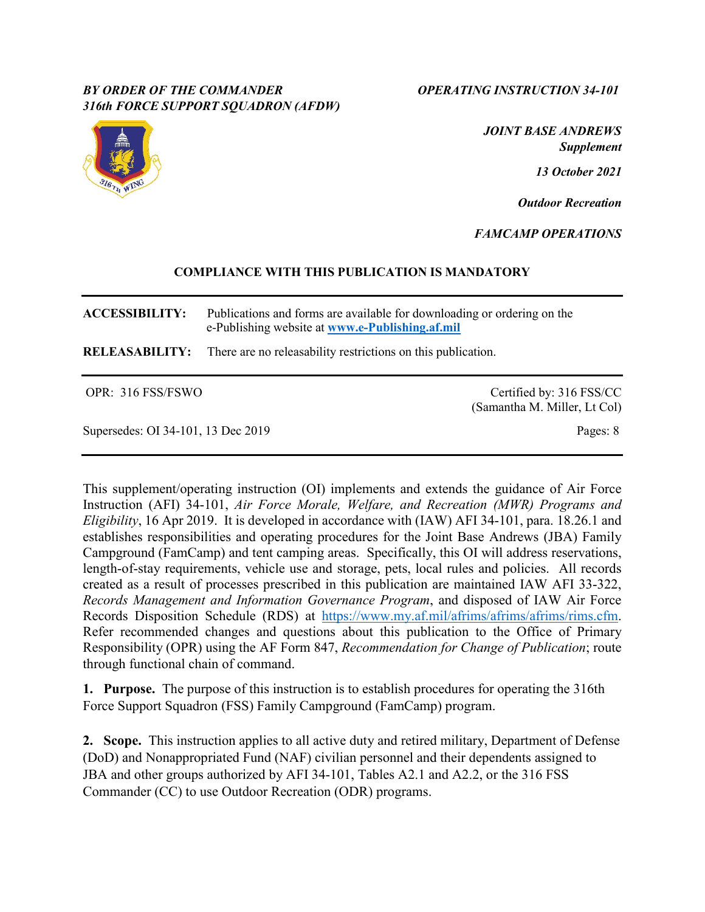## *BY ORDER OF THE COMMANDER OPERATING INSTRUCTION 34-101 316th FORCE SUPPORT SQUADRON (AFDW)*



*JOINT BASE ANDREWS Supplement*

*13 October 2021*

*Outdoor Recreation*

*FAMCAMP OPERATIONS*

# **COMPLIANCE WITH THIS PUBLICATION IS MANDATORY**

**ACCESSIBILITY:** Publications and forms are available for downloading or ordering on the e-Publishing website at **[www.e-Publishing.af.mil](http://www.e-publishing.af.mil/)**

**RELEASABILITY:** There are no releasability restrictions on this publication.

OPR: 316 FSS/FSWO Certified by: 316 FSS/CC (Samantha M. Miller, Lt Col)

Supersedes: OI 34-101, 13 Dec 2019 Pages: 8

This supplement/operating instruction (OI) implements and extends the guidance of Air Force Instruction (AFI) 34-101, *Air Force Morale, Welfare, and Recreation (MWR) Programs and Eligibility*, 16 Apr 2019. It is developed in accordance with (IAW) AFI 34-101, para. 18.26.1 and establishes responsibilities and operating procedures for the Joint Base Andrews (JBA) Family Campground (FamCamp) and tent camping areas. Specifically, this OI will address reservations, length-of-stay requirements, vehicle use and storage, pets, local rules and policies. All records created as a result of processes prescribed in this publication are maintained IAW AFI 33-322, *Records Management and Information Governance Program*, and disposed of IAW Air Force Records Disposition Schedule (RDS) at [https://www.my.af.mil/afrims/afrims/afrims/rims.cfm.](https://www.my.af.mil/afrims/afrims/afrims/rims.cfm) Refer recommended changes and questions about this publication to the Office of Primary Responsibility (OPR) using the AF Form 847, *Recommendation for Change of Publication*; route through functional chain of command.

**1. Purpose.** The purpose of this instruction is to establish procedures for operating the 316th Force Support Squadron (FSS) Family Campground (FamCamp) program.

**2. Scope.** This instruction applies to all active duty and retired military, Department of Defense (DoD) and Nonappropriated Fund (NAF) civilian personnel and their dependents assigned to JBA and other groups authorized by AFI 34-101, Tables A2.1 and A2.2, or the 316 FSS Commander (CC) to use Outdoor Recreation (ODR) programs.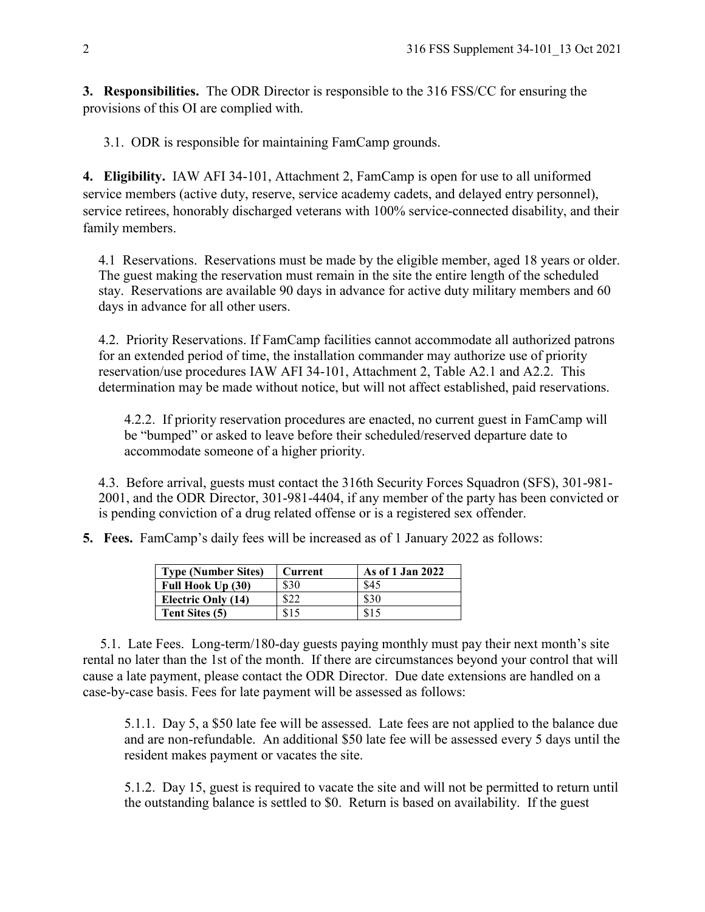**3. Responsibilities.** The ODR Director is responsible to the 316 FSS/CC for ensuring the provisions of this OI are complied with.

3.1. ODR is responsible for maintaining FamCamp grounds.

**4. Eligibility.** IAW AFI 34-101, Attachment 2, FamCamp is open for use to all uniformed service members (active duty, reserve, service academy cadets, and delayed entry personnel), service retirees, honorably discharged veterans with 100% service-connected disability, and their family members.

4.1 Reservations. Reservations must be made by the eligible member, aged 18 years or older. The guest making the reservation must remain in the site the entire length of the scheduled stay. Reservations are available 90 days in advance for active duty military members and 60 days in advance for all other users.

4.2. Priority Reservations. If FamCamp facilities cannot accommodate all authorized patrons for an extended period of time, the installation commander may authorize use of priority reservation/use procedures IAW AFI 34-101, Attachment 2, Table A2.1 and A2.2. This determination may be made without notice, but will not affect established, paid reservations.

4.2.2. If priority reservation procedures are enacted, no current guest in FamCamp will be "bumped" or asked to leave before their scheduled/reserved departure date to accommodate someone of a higher priority.

4.3. Before arrival, guests must contact the 316th Security Forces Squadron (SFS), 301-981- 2001, and the ODR Director, 301-981-4404, if any member of the party has been convicted or is pending conviction of a drug related offense or is a registered sex offender.

**5. Fees.** FamCamp's daily fees will be increased as of 1 January 2022 as follows:

| <b>Type (Number Sites)</b> | Current | As of 1 Jan 2022 |
|----------------------------|---------|------------------|
| Full Hook Up (30)          | \$30    | \$45             |
| Electric Only (14)         |         | \$30             |
| Tent Sites (5)             | \$15    | \$15             |

 5.1. Late Fees. Long-term/180-day guests paying monthly must pay their next month's site rental no later than the 1st of the month. If there are circumstances beyond your control that will cause a late payment, please contact the ODR Director. Due date extensions are handled on a case-by-case basis. Fees for late payment will be assessed as follows:

5.1.1. Day 5, a \$50 late fee will be assessed. Late fees are not applied to the balance due and are non-refundable. An additional \$50 late fee will be assessed every 5 days until the resident makes payment or vacates the site.

5.1.2. Day 15, guest is required to vacate the site and will not be permitted to return until the outstanding balance is settled to \$0. Return is based on availability. If the guest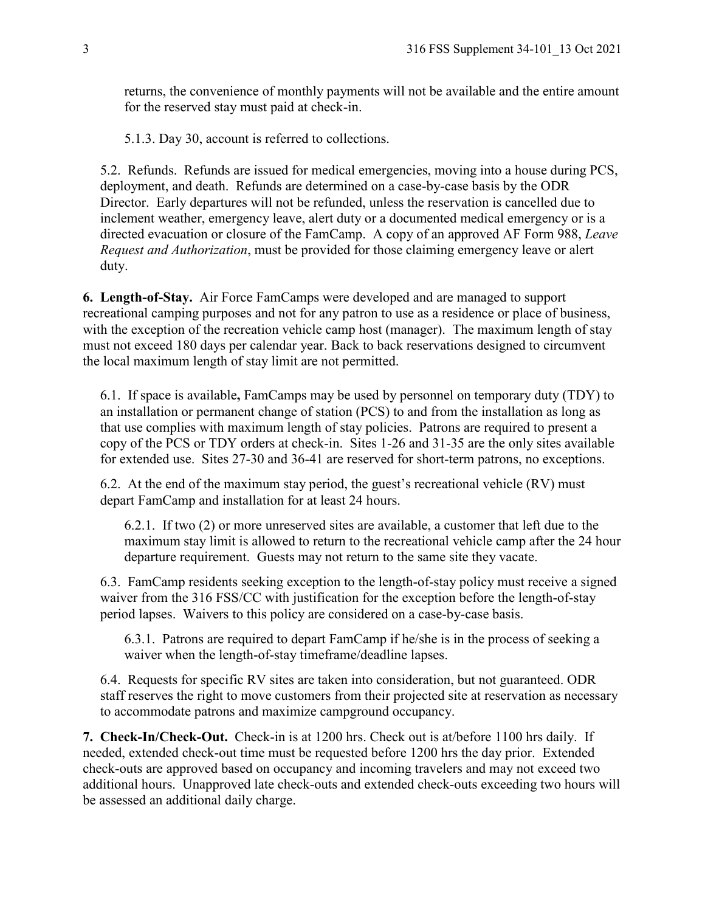returns, the convenience of monthly payments will not be available and the entire amount for the reserved stay must paid at check-in.

5.1.3. Day 30, account is referred to collections.

5.2. Refunds. Refunds are issued for medical emergencies, moving into a house during PCS, deployment, and death. Refunds are determined on a case-by-case basis by the ODR Director. Early departures will not be refunded, unless the reservation is cancelled due to inclement weather, emergency leave, alert duty or a documented medical emergency or is a directed evacuation or closure of the FamCamp. A copy of an approved AF Form 988, *Leave Request and Authorization*, must be provided for those claiming emergency leave or alert duty.

**6. Length-of-Stay.** Air Force FamCamps were developed and are managed to support recreational camping purposes and not for any patron to use as a residence or place of business, with the exception of the recreation vehicle camp host (manager). The maximum length of stay must not exceed 180 days per calendar year. Back to back reservations designed to circumvent the local maximum length of stay limit are not permitted.

6.1. If space is available**,** FamCamps may be used by personnel on temporary duty (TDY) to an installation or permanent change of station (PCS) to and from the installation as long as that use complies with maximum length of stay policies. Patrons are required to present a copy of the PCS or TDY orders at check-in. Sites 1-26 and 31-35 are the only sites available for extended use. Sites 27-30 and 36-41 are reserved for short-term patrons, no exceptions.

6.2. At the end of the maximum stay period, the guest's recreational vehicle (RV) must depart FamCamp and installation for at least 24 hours.

6.2.1. If two (2) or more unreserved sites are available, a customer that left due to the maximum stay limit is allowed to return to the recreational vehicle camp after the 24 hour departure requirement. Guests may not return to the same site they vacate.

6.3. FamCamp residents seeking exception to the length-of-stay policy must receive a signed waiver from the 316 FSS/CC with justification for the exception before the length-of-stay period lapses. Waivers to this policy are considered on a case-by-case basis.

6.3.1. Patrons are required to depart FamCamp if he/she is in the process of seeking a waiver when the length-of-stay timeframe/deadline lapses.

6.4. Requests for specific RV sites are taken into consideration, but not guaranteed. ODR staff reserves the right to move customers from their projected site at reservation as necessary to accommodate patrons and maximize campground occupancy.

**7. Check-In/Check-Out.** Check-in is at 1200 hrs. Check out is at/before 1100 hrs daily. If needed, extended check-out time must be requested before 1200 hrs the day prior. Extended check-outs are approved based on occupancy and incoming travelers and may not exceed two additional hours. Unapproved late check-outs and extended check-outs exceeding two hours will be assessed an additional daily charge.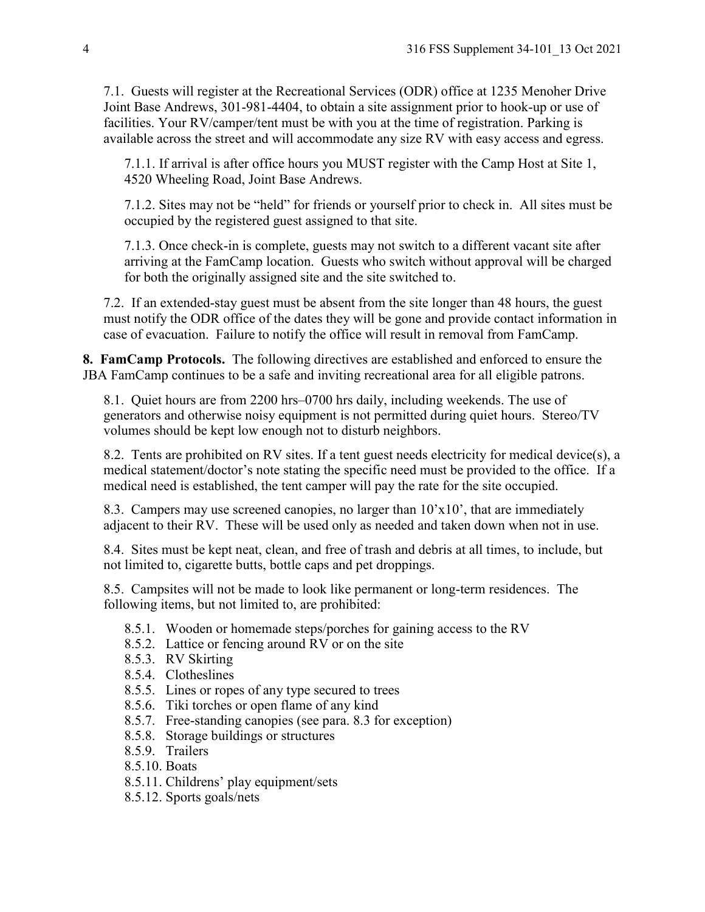7.1. Guests will register at the Recreational Services (ODR) office at 1235 Menoher Drive Joint Base Andrews, 301-981-4404, to obtain a site assignment prior to hook-up or use of facilities. Your RV/camper/tent must be with you at the time of registration. Parking is available across the street and will accommodate any size RV with easy access and egress.

7.1.1. If arrival is after office hours you MUST register with the Camp Host at Site 1, 4520 Wheeling Road, Joint Base Andrews.

7.1.2. Sites may not be "held" for friends or yourself prior to check in. All sites must be occupied by the registered guest assigned to that site.

7.1.3. Once check-in is complete, guests may not switch to a different vacant site after arriving at the FamCamp location. Guests who switch without approval will be charged for both the originally assigned site and the site switched to.

7.2. If an extended-stay guest must be absent from the site longer than 48 hours, the guest must notify the ODR office of the dates they will be gone and provide contact information in case of evacuation. Failure to notify the office will result in removal from FamCamp.

**8. FamCamp Protocols.** The following directives are established and enforced to ensure the JBA FamCamp continues to be a safe and inviting recreational area for all eligible patrons.

8.1. Quiet hours are from 2200 hrs–0700 hrs daily, including weekends. The use of generators and otherwise noisy equipment is not permitted during quiet hours. Stereo/TV volumes should be kept low enough not to disturb neighbors.

8.2. Tents are prohibited on RV sites. If a tent guest needs electricity for medical device(s), a medical statement/doctor's note stating the specific need must be provided to the office. If a medical need is established, the tent camper will pay the rate for the site occupied.

8.3. Campers may use screened canopies, no larger than 10'x10', that are immediately adjacent to their RV. These will be used only as needed and taken down when not in use.

8.4. Sites must be kept neat, clean, and free of trash and debris at all times, to include, but not limited to, cigarette butts, bottle caps and pet droppings.

8.5. Campsites will not be made to look like permanent or long-term residences. The following items, but not limited to, are prohibited:

- 8.5.1. Wooden or homemade steps/porches for gaining access to the RV
- 8.5.2. Lattice or fencing around RV or on the site
- 8.5.3. RV Skirting
- 8.5.4. Clotheslines
- 8.5.5. Lines or ropes of any type secured to trees
- 8.5.6. Tiki torches or open flame of any kind
- 8.5.7. Free-standing canopies (see para. 8.3 for exception)
- 8.5.8. Storage buildings or structures
- 8.5.9. Trailers
- 8.5.10. Boats
- 8.5.11. Childrens' play equipment/sets
- 8.5.12. Sports goals/nets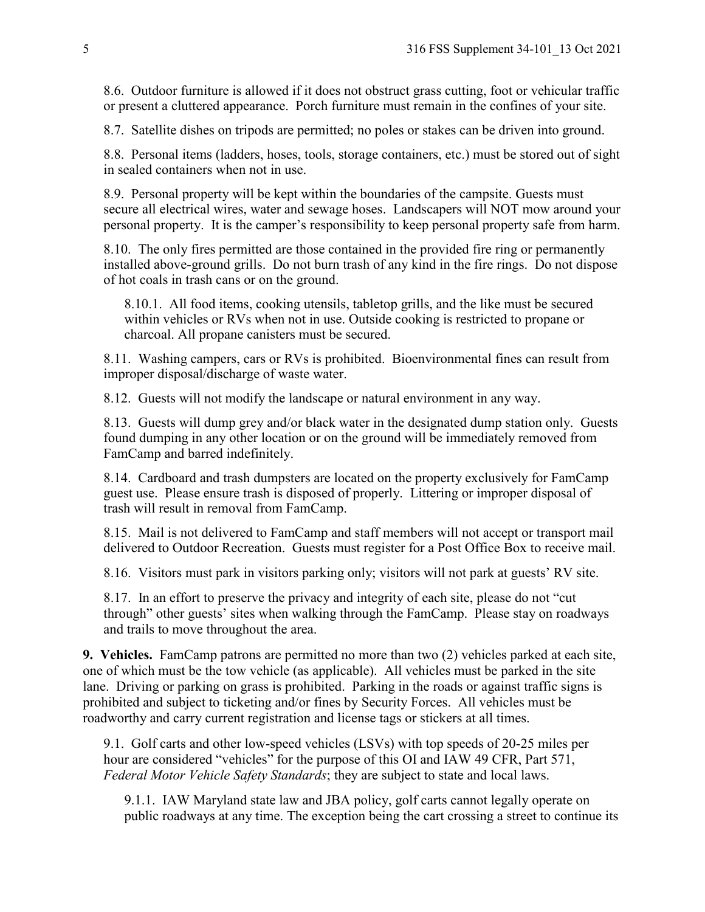8.6. Outdoor furniture is allowed if it does not obstruct grass cutting, foot or vehicular traffic or present a cluttered appearance. Porch furniture must remain in the confines of your site.

8.7. Satellite dishes on tripods are permitted; no poles or stakes can be driven into ground.

8.8. Personal items (ladders, hoses, tools, storage containers, etc.) must be stored out of sight in sealed containers when not in use.

8.9. Personal property will be kept within the boundaries of the campsite. Guests must secure all electrical wires, water and sewage hoses. Landscapers will NOT mow around your personal property. It is the camper's responsibility to keep personal property safe from harm.

8.10. The only fires permitted are those contained in the provided fire ring or permanently installed above-ground grills. Do not burn trash of any kind in the fire rings. Do not dispose of hot coals in trash cans or on the ground.

8.10.1. All food items, cooking utensils, tabletop grills, and the like must be secured within vehicles or RVs when not in use. Outside cooking is restricted to propane or charcoal. All propane canisters must be secured.

8.11. Washing campers, cars or RVs is prohibited. Bioenvironmental fines can result from improper disposal/discharge of waste water.

8.12. Guests will not modify the landscape or natural environment in any way.

8.13. Guests will dump grey and/or black water in the designated dump station only. Guests found dumping in any other location or on the ground will be immediately removed from FamCamp and barred indefinitely.

8.14. Cardboard and trash dumpsters are located on the property exclusively for FamCamp guest use. Please ensure trash is disposed of properly. Littering or improper disposal of trash will result in removal from FamCamp.

8.15. Mail is not delivered to FamCamp and staff members will not accept or transport mail delivered to Outdoor Recreation. Guests must register for a Post Office Box to receive mail.

8.16. Visitors must park in visitors parking only; visitors will not park at guests' RV site.

8.17. In an effort to preserve the privacy and integrity of each site, please do not "cut through" other guests' sites when walking through the FamCamp. Please stay on roadways and trails to move throughout the area.

**9. Vehicles.** FamCamp patrons are permitted no more than two (2) vehicles parked at each site, one of which must be the tow vehicle (as applicable). All vehicles must be parked in the site lane. Driving or parking on grass is prohibited. Parking in the roads or against traffic signs is prohibited and subject to ticketing and/or fines by Security Forces.All vehicles must be roadworthy and carry current registration and license tags or stickers at all times.

9.1. Golf carts and other low-speed vehicles (LSVs) with top speeds of 20-25 miles per hour are considered "vehicles" for the purpose of this OI and IAW 49 CFR, Part 571, *Federal Motor Vehicle Safety Standards*; they are subject to state and local laws.

9.1.1. IAW Maryland state law and JBA policy, golf carts cannot legally operate on public roadways at any time. The exception being the cart crossing a street to continue its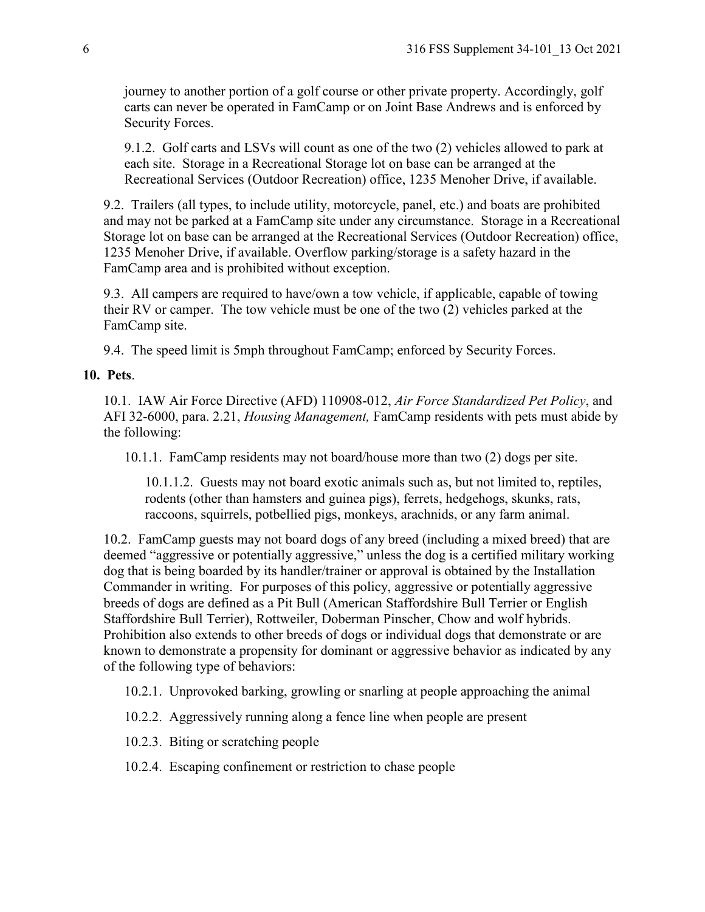journey to another portion of a golf course or other private property. Accordingly, golf carts can never be operated in FamCamp or on Joint Base Andrews and is enforced by Security Forces.

9.1.2. Golf carts and LSVs will count as one of the two (2) vehicles allowed to park at each site. Storage in a Recreational Storage lot on base can be arranged at the Recreational Services (Outdoor Recreation) office, 1235 Menoher Drive, if available.

9.2. Trailers (all types, to include utility, motorcycle, panel, etc.) and boats are prohibited and may not be parked at a FamCamp site under any circumstance. Storage in a Recreational Storage lot on base can be arranged at the Recreational Services (Outdoor Recreation) office, 1235 Menoher Drive, if available. Overflow parking/storage is a safety hazard in the FamCamp area and is prohibited without exception.

9.3. All campers are required to have/own a tow vehicle, if applicable, capable of towing their RV or camper. The tow vehicle must be one of the two (2) vehicles parked at the FamCamp site.

9.4. The speed limit is 5mph throughout FamCamp; enforced by Security Forces.

# **10. Pets**.

10.1. IAW Air Force Directive (AFD) 110908-012, *Air Force Standardized Pet Policy*, and AFI 32-6000, para. 2.21, *Housing Management,* FamCamp residents with pets must abide by the following:

10.1.1. FamCamp residents may not board/house more than two (2) dogs per site.

10.1.1.2. Guests may not board exotic animals such as, but not limited to, reptiles, rodents (other than hamsters and guinea pigs), ferrets, hedgehogs, skunks, rats, raccoons, squirrels, potbellied pigs, monkeys, arachnids, or any farm animal.

10.2. FamCamp guests may not board dogs of any breed (including a mixed breed) that are deemed "aggressive or potentially aggressive," unless the dog is a certified military working dog that is being boarded by its handler/trainer or approval is obtained by the Installation Commander in writing. For purposes of this policy, aggressive or potentially aggressive breeds of dogs are defined as a Pit Bull (American Staffordshire Bull Terrier or English Staffordshire Bull Terrier), Rottweiler, Doberman Pinscher, Chow and wolf hybrids. Prohibition also extends to other breeds of dogs or individual dogs that demonstrate or are known to demonstrate a propensity for dominant or aggressive behavior as indicated by any of the following type of behaviors:

10.2.1. Unprovoked barking, growling or snarling at people approaching the animal

- 10.2.2. Aggressively running along a fence line when people are present
- 10.2.3. Biting or scratching people
- 10.2.4. Escaping confinement or restriction to chase people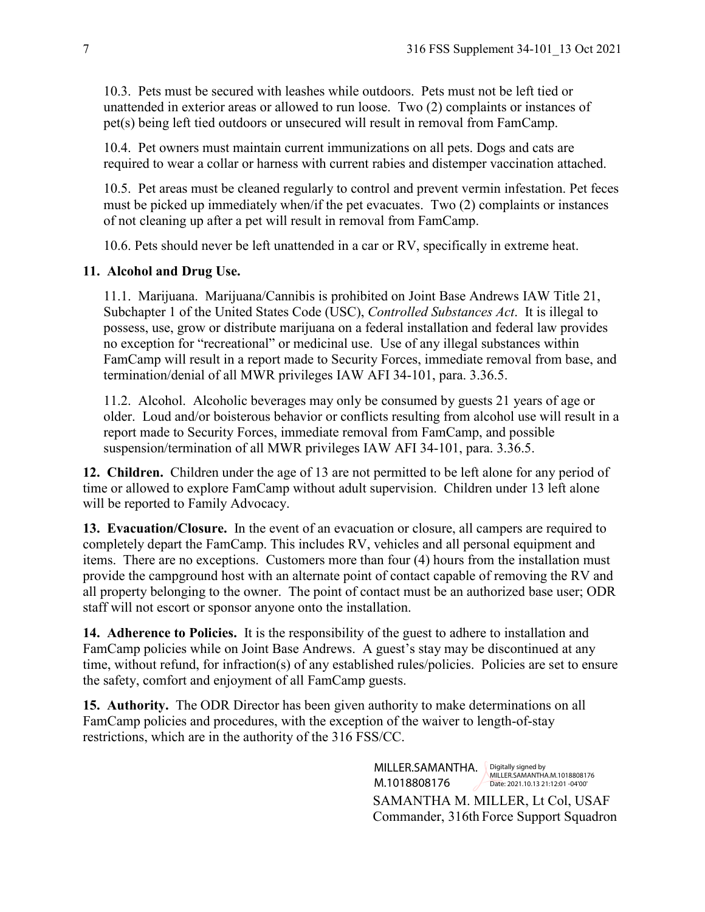10.3. Pets must be secured with leashes while outdoors. Pets must not be left tied or unattended in exterior areas or allowed to run loose. Two (2) complaints or instances of pet(s) being left tied outdoors or unsecured will result in removal from FamCamp.

10.4. Pet owners must maintain current immunizations on all pets. Dogs and cats are required to wear a collar or harness with current rabies and distemper vaccination attached.

10.5. Pet areas must be cleaned regularly to control and prevent vermin infestation. Pet feces must be picked up immediately when/if the pet evacuates. Two (2) complaints or instances of not cleaning up after a pet will result in removal from FamCamp.

10.6. Pets should never be left unattended in a car or RV, specifically in extreme heat.

# **11. Alcohol and Drug Use.**

11.1. Marijuana. Marijuana/Cannibis is prohibited on Joint Base Andrews IAW Title 21, Subchapter 1 of the United States Code (USC), *Controlled Substances Act*. It is illegal to possess, use, grow or distribute marijuana on a federal installation and federal law provides no exception for "recreational" or medicinal use. Use of any illegal substances within FamCamp will result in a report made to Security Forces, immediate removal from base, and termination/denial of all MWR privileges IAW AFI 34-101, para. 3.36.5.

11.2. Alcohol. Alcoholic beverages may only be consumed by guests 21 years of age or older. Loud and/or boisterous behavior or conflicts resulting from alcohol use will result in a report made to Security Forces, immediate removal from FamCamp, and possible suspension/termination of all MWR privileges IAW AFI 34-101, para. 3.36.5.

**12. Children.** Children under the age of 13 are not permitted to be left alone for any period of time or allowed to explore FamCamp without adult supervision. Children under 13 left alone will be reported to Family Advocacy.

**13. Evacuation/Closure.** In the event of an evacuation or closure, all campers are required to completely depart the FamCamp. This includes RV, vehicles and all personal equipment and items. There are no exceptions. Customers more than four (4) hours from the installation must provide the campground host with an alternate point of contact capable of removing the RV and all property belonging to the owner. The point of contact must be an authorized base user; ODR staff will not escort or sponsor anyone onto the installation.

**14. Adherence to Policies.** It is the responsibility of the guest to adhere to installation and FamCamp policies while on Joint Base Andrews. A guest's stay may be discontinued at any time, without refund, for infraction(s) of any established rules/policies. Policies are set to ensure the safety, comfort and enjoyment of all FamCamp guests.

**15. Authority.** The ODR Director has been given authority to make determinations on all FamCamp policies and procedures, with the exception of the waiver to length-of-stay restrictions, which are in the authority of the 316 FSS/CC.

> SAMANTHA M. MILLER, Lt Col, USAF Commander, 316th Force Support Squadron MILLER.SAMANTHA. Digitally signed by M.1018808176 MILLER.SAMANTHA.M.1018808176 Date: 2021.10.13 21:12:01 -04'00'